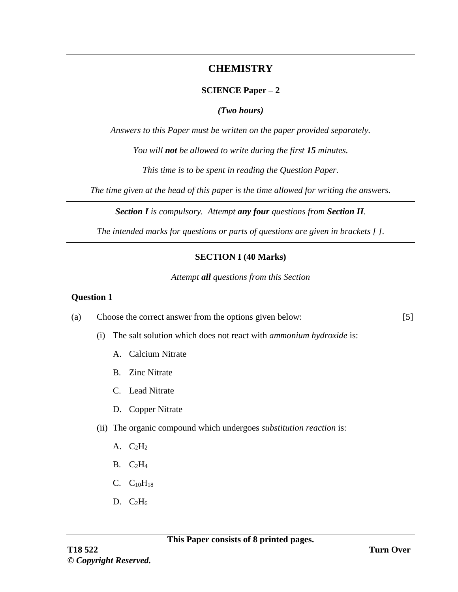# **CHEMISTRY**

## **SCIENCE Paper – 2**

### *(Two hours)*

*Answers to this Paper must be written on the paper provided separately.*

*You will not be allowed to write during the first 15 minutes.*

*This time is to be spent in reading the Question Paper.*

*The time given at the head of this paper is the time allowed for writing the answers.*

*Section I is compulsory. Attempt any four questions from Section II.*

*The intended marks for questions or parts of questions are given in brackets [ ].*

# **SECTION I (40 Marks)**

*Attempt all questions from this Section*

#### **Question 1**

- (a) Choose the correct answer from the options given below:
	- (i) The salt solution which does not react with *ammonium hydroxide* is:
		- A. Calcium Nitrate
		- B. Zinc Nitrate
		- C. Lead Nitrate
		- D. Copper Nitrate
	- (ii) The organic compound which undergoes *substitution reaction* is:
		- A.  $C_2H_2$
		- $B. C<sub>2</sub>H<sub>4</sub>$
		- $C. C<sub>10</sub>H<sub>18</sub>$
		- D.  $C_2H_6$

[5]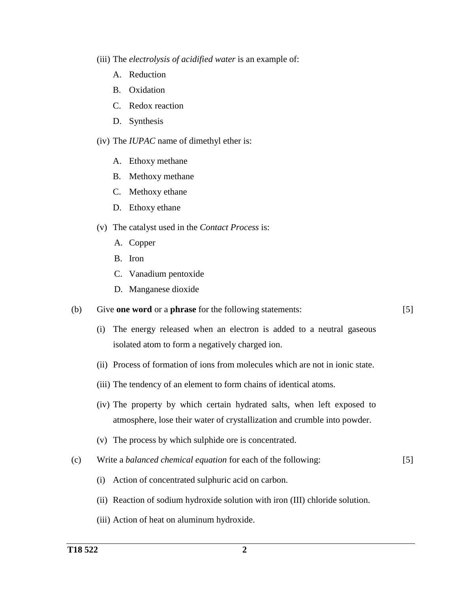- (iii) The *electrolysis of acidified water* is an example of:
	- A. Reduction
	- B. Oxidation
	- C. Redox reaction
	- D. Synthesis
- (iv) The *IUPAC* name of dimethyl ether is:
	- A. Ethoxy methane
	- B. Methoxy methane
	- C. Methoxy ethane
	- D. Ethoxy ethane
- (v) The catalyst used in the *Contact Process* is:
	- A. Copper
	- B. Iron
	- C. Vanadium pentoxide
	- D. Manganese dioxide
- (b) Give **one word** or a **phrase** for the following statements:
- [5]
- (i) The energy released when an electron is added to a neutral gaseous isolated atom to form a negatively charged ion.
- (ii) Process of formation of ions from molecules which are not in ionic state.
- (iii) The tendency of an element to form chains of identical atoms.
- (iv) The property by which certain hydrated salts, when left exposed to atmosphere, lose their water of crystallization and crumble into powder.
- (v) The process by which sulphide ore is concentrated.
- (c) Write a *balanced chemical equation* for each of the following: [5]
	- (i) Action of concentrated sulphuric acid on carbon.
	- (ii) Reaction of sodium hydroxide solution with iron (III) chloride solution.
	- (iii) Action of heat on aluminum hydroxide.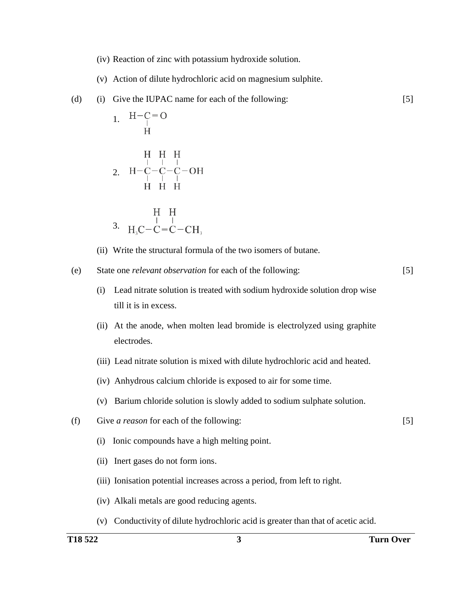- (iv) Reaction of zinc with potassium hydroxide solution.
- (v) Action of dilute hydrochloric acid on magnesium sulphite.
- (d) (i) Give the IUPAC name for each of the following:

1. 
$$
H-C=O
$$
  
\nH H H H H  
\n2.  $H-C-C-C-C-OH$   
\n $H H H H$   
\n3.  $H_3C-C=C-CH_3$ 

(ii) Write the structural formula of the two isomers of butane.

(e) State one *relevant observation* for each of the following:

[5]

[5]

[5]

- (i) Lead nitrate solution is treated with sodium hydroxide solution drop wise till it is in excess.
- (ii) At the anode, when molten lead bromide is electrolyzed using graphite electrodes.
- (iii) Lead nitrate solution is mixed with dilute hydrochloric acid and heated.
- (iv) Anhydrous calcium chloride is exposed to air for some time.
- (v) Barium chloride solution is slowly added to sodium sulphate solution.
- (f) Give *a reason* for each of the following:
	- (i) Ionic compounds have a high melting point.
	- (ii) Inert gases do not form ions.
	- (iii) Ionisation potential increases across a period, from left to right.
	- (iv) Alkali metals are good reducing agents.
	- (v) Conductivity of dilute hydrochloric acid is greater than that of acetic acid.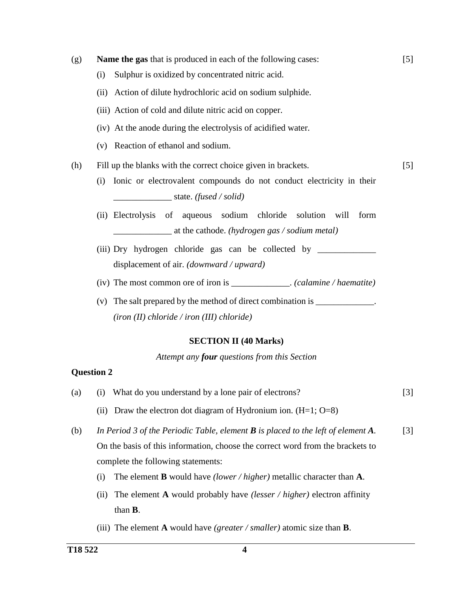(g) **Name the gas** that is produced in each of the following cases: (i) Sulphur is oxidized by concentrated nitric acid. (ii) Action of dilute hydrochloric acid on sodium sulphide. (iii) Action of cold and dilute nitric acid on copper. (iv) At the anode during the electrolysis of acidified water. (v) Reaction of ethanol and sodium. [5] (h) Fill up the blanks with the correct choice given in brackets. (i) Ionic or electrovalent compounds do not conduct electricity in their \_\_\_\_\_\_\_\_\_\_\_\_\_ state. *(fused / solid)* (ii) Electrolysis of aqueous sodium chloride solution will form \_\_\_\_\_\_\_\_\_\_\_\_\_ at the cathode. *(hydrogen gas / sodium metal)* (iii) Dry hydrogen chloride gas can be collected by \_\_\_\_\_\_\_\_\_\_\_\_\_ displacement of air. *(downward / upward)* (iv) The most common ore of iron is \_\_\_\_\_\_\_\_\_\_\_\_\_. *(calamine / haematite)* (v) The salt prepared by the method of direct combination is  $\frac{1}{\sqrt{2\pi}}$ . *(iron (II) chloride / iron (III) chloride)* [5]

#### **SECTION II (40 Marks)**

*Attempt any four questions from this Section*

#### **Question 2**

- (a) (i) What do you understand by a lone pair of electrons? [3]
	- (ii) Draw the electron dot diagram of Hydronium ion.  $(H=1; O=8)$
- (b) *In Period 3 of the Periodic Table, element B is placed to the left of element A.* On the basis of this information, choose the correct word from the brackets to complete the following statements: [3]
	- (i) The element **B** would have *(lower / higher)* metallic character than **A**.
	- (ii) The element **A** would probably have *(lesser / higher)* electron affinity than **B**.
	- (iii) The element **A** would have *(greater / smaller)* atomic size than **B**.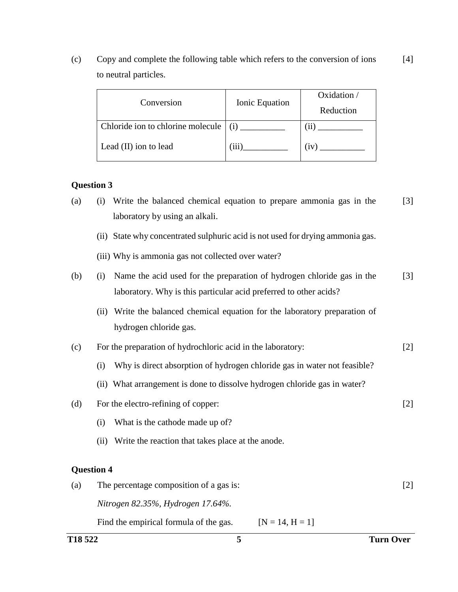(c) Copy and complete the following table which refers to the conversion of ions to neutral particles. [4]

| Conversion                        | Ionic Equation | Oxidation /<br>Reduction |
|-----------------------------------|----------------|--------------------------|
| Chloride ion to chlorine molecule | (i)            |                          |
| Lead (II) ion to lead             | (111)          | (1V)                     |

### **Question 3**

| (a) | (i) Write the balanced chemical equation to prepare ammonia gas in the | $[3]$ |
|-----|------------------------------------------------------------------------|-------|
|     | laboratory by using an alkali.                                         |       |

- (ii) State why concentrated sulphuric acid is not used for drying ammonia gas.
- (iii) Why is ammonia gas not collected over water?

| (b) | (i) Name the acid used for the preparation of hydrogen chloride gas in the |  |  |
|-----|----------------------------------------------------------------------------|--|--|
|     | laboratory. Why is this particular acid preferred to other acids?          |  |  |

(ii) Write the balanced chemical equation for the laboratory preparation of hydrogen chloride gas.

| (c) |  | For the preparation of hydrochloric acid in the laboratory: |  |
|-----|--|-------------------------------------------------------------|--|
|     |  |                                                             |  |

- (i) Why is direct absorption of hydrogen chloride gas in water not feasible?
- (ii) What arrangement is done to dissolve hydrogen chloride gas in water?
- (d) For the electro-refining of copper:
	- (i) What is the cathode made up of?
	- (ii) Write the reaction that takes place at the anode.

#### **Question 4**

| (a) | The percentage composition of a gas is: |                   |  |  |
|-----|-----------------------------------------|-------------------|--|--|
|     | Nitrogen 82.35%, Hydrogen 17.64%.       |                   |  |  |
|     | Find the empirical formula of the gas.  | $[N = 14, H = 1]$ |  |  |

[2]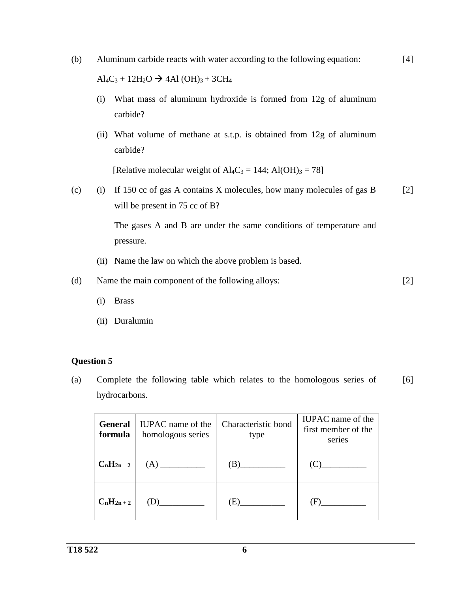- (b) Aluminum carbide reacts with water according to the following equation:  $Al_4C_3 + 12H_2O \rightarrow 4Al(OH)_3 + 3CH_4$ [4]
	- (i) What mass of aluminum hydroxide is formed from 12g of aluminum carbide?
	- (ii) What volume of methane at s.t.p. is obtained from 12g of aluminum carbide?

[Relative molecular weight of  $\text{Al}_4\text{C}_3 = 144$ ;  $\text{Al}(\text{OH})_3 = 78$ ]

(c) (i) If 150 cc of gas A contains X molecules, how many molecules of gas B will be present in 75 cc of B? [2]

> The gases A and B are under the same conditions of temperature and pressure.

(ii) Name the law on which the above problem is based.

(d) Name the main component of the following alloys: [2]

- (i) Brass
- (ii) Duralumin

#### **Question 5**

(a) Complete the following table which relates to the homologous series of hydrocarbons. [6]

| formula       | <b>General</b>   IUPAC name of the<br>homologous series | Characteristic bond<br>type | <b>IUPAC</b> name of the<br>first member of the<br>series |
|---------------|---------------------------------------------------------|-----------------------------|-----------------------------------------------------------|
| $C_nH_{2n-2}$ |                                                         |                             | (C)                                                       |
| $C_nH_{2n+2}$ | (D)                                                     | (E)                         | (F)                                                       |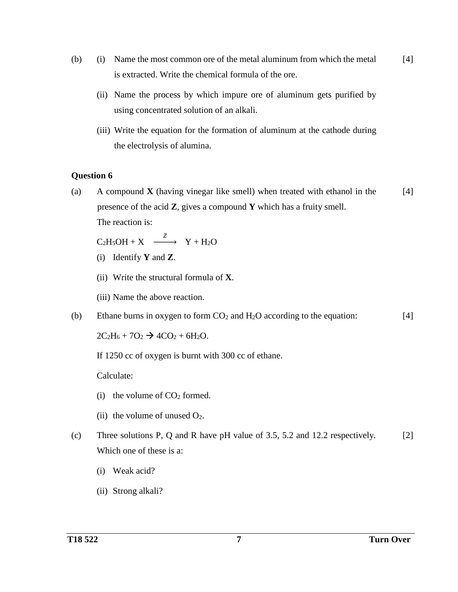- (b) (i) Name the most common ore of the metal aluminum from which the metal is extracted. Write the chemical formula of the ore. [4]
	- (ii) Name the process by which impure ore of aluminum gets purified by using concentrated solution of an alkali.
	- (iii) Write the equation for the formation of aluminum at the cathode during the electrolysis of alumina.

#### **Question 6**

(a) A compound **X** (having vinegar like smell) when treated with ethanol in the presence of the acid **Z**, gives a compound **Y** which has a fruity smell. The reaction is: [4]

 $C_2H_5OH + X \xrightarrow{Z} Y + H_2O$ 

- (i) Identify **Y** and **Z**.
- (ii) Write the structural formula of **X**.
- (iii) Name the above reaction.
- (b) Ethane burns in oxygen to form  $CO<sub>2</sub>$  and  $H<sub>2</sub>O$  according to the equation: [4]

 $2C_2H_6 + 7O_2 \rightarrow 4CO_2 + 6H_2O.$ 

If 1250 cc of oxygen is burnt with 300 cc of ethane.

Calculate:

- (i) the volume of  $CO<sub>2</sub>$  formed.
- (ii) the volume of unused  $O_2$ .
- (c) Three solutions P, Q and R have pH value of 3.5, 5.2 and 12.2 respectively. Which one of these is a: [2]
	- (i) Weak acid?
	- (ii) Strong alkali?